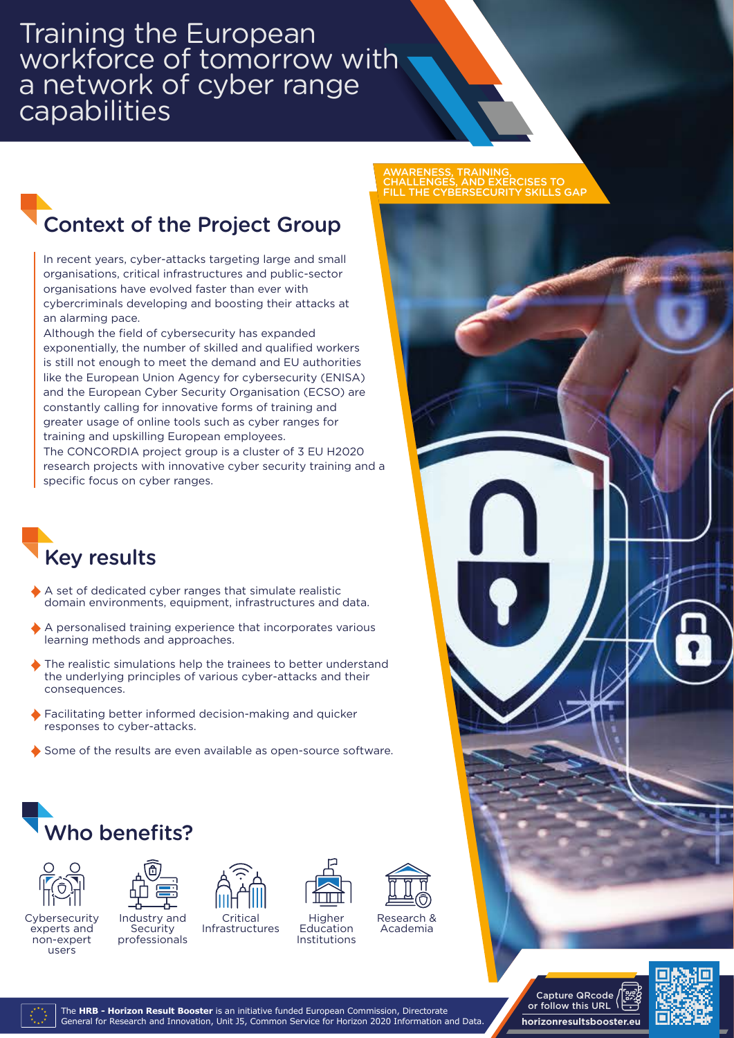### Training the European workforce of tomorrow with a network of cyber range capabilities

## Context of the Project Group

In recent years, cyber-attacks targeting large and small organisations, critical infrastructures and public-sector organisations have evolved faster than ever with cybercriminals developing and boosting their attacks at an alarming pace.

Although the field of cybersecurity has expanded exponentially, the number of skilled and qualified workers is still not enough to meet the demand and EU authorities like the European Union Agency for cybersecurity (ENISA) and the European Cyber Security Organisation (ECSO) are constantly calling for innovative forms of training and greater usage of online tools such as cyber ranges for training and upskilling European employees.

The CONCORDIA project group is a cluster of 3 EU H2020 research projects with innovative cyber security training and a specific focus on cyber ranges.

## Key results

- A set of dedicated cyber ranges that simulate realistic domain environments, equipment, infrastructures and data.
- A personalised training experience that incorporates various learning methods and approaches.
- The realistic simulations help the trainees to better understand the underlying principles of various cyber-attacks and their consequences.
- Facilitating better informed decision-making and quicker responses to cyber-attacks.
- Some of the results are even available as open-source software.

# Who benefits?



experts and non-expert users













Higher Education Institutions







#### **TRAINING ERCISES** I<mark>SES TO</mark><br>SKILLS GAP

The **HRB - Horizon Result Booster** is an initiative funded European Commission, Directorate General for Research and Innovation, Unit J5, Common Service for Horizon 2020 Information and Data. **horizonresultsbooster.eu**

or follow this URL